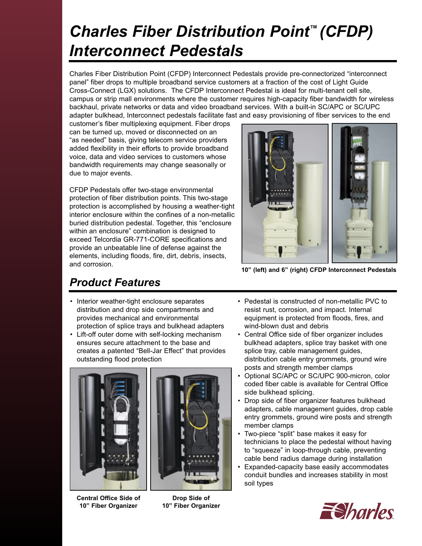# *Charles Fiber Distribution Point™ (CFDP) Interconnect Pedestals*

Charles Fiber Distribution Point (CFDP) Interconnect Pedestals provide pre-connectorized "interconnect panel" fiber drops to multiple broadband service customers at a fraction of the cost of Light Guide Cross-Connect (LGX) solutions. The CFDP Interconnect Pedestal is ideal for multi-tenant cell site, campus or strip mall environments where the customer requires high-capacity fiber bandwidth for wireless backhaul, private networks or data and video broadband services. With a built-in SC/APC or SC/UPC adapter bulkhead, Interconnect pedestals facilitate fast and easy provisioning of fiber services to the end

customer's fiber multiplexing equipment. Fiber drops can be turned up, moved or disconnected on an "as needed" basis, giving telecom service providers added flexibility in their efforts to provide broadband voice, data and video services to customers whose bandwidth requirements may change seasonally or due to major events.

CFDP Pedestals offer two-stage environmental protection of fiber distribution points. This two-stage protection is accomplished by housing a weather-tight interior enclosure within the confines of a non-metallic buried distribution pedestal. Together, this "enclosure within an enclosure" combination is designed to exceed Telcordia GR-771-CORE specifications and provide an unbeatable line of defense against the elements, including floods, fire, dirt, debris, insects, and corrosion.



**10" (left) and 6" (right) CFDP Interconnect Pedestals**

### *Product Features*

- Interior weather-tight enclosure separates distribution and drop side compartments and provides mechanical and environmental protection of splice trays and bulkhead adapters
- Lift-off outer dome with self-locking mechanism ensures secure attachment to the base and creates a patented "Bell-Jar Effect" that provides outstanding flood protection



**Central Office Side of 10" Fiber Organizer**



**Drop Side of 10" Fiber Organizer**

- Pedestal is constructed of non-metallic PVC to resist rust, corrosion, and impact. Internal equipment is protected from floods, fires, and wind-blown dust and debris
- Central Office side of fiber organizer includes bulkhead adapters, splice tray basket with one splice tray, cable management guides, distribution cable entry grommets, ground wire posts and strength member clamps
- Optional SC/APC or SC/UPC 900-micron, color coded fiber cable is available for Central Office side bulkhead splicing.
- Drop side of fiber organizer features bulkhead adapters, cable management guides, drop cable entry grommets, ground wire posts and strength member clamps
- Two-piece "split" base makes it easy for technicians to place the pedestal without having to "squeeze" in loop-through cable, preventing cable bend radius damage during installation
- Expanded-capacity base easily accommodates conduit bundles and increases stability in most soil types